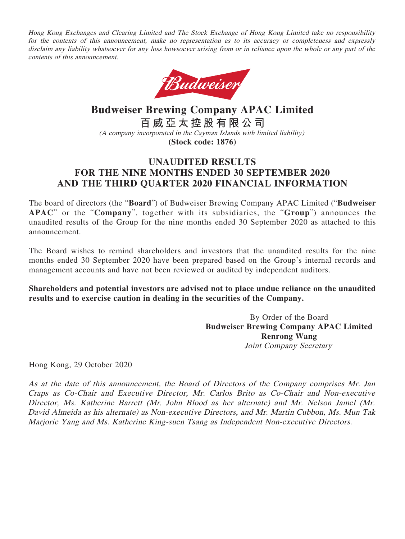Hong Kong Exchanges and Clearing Limited and The Stock Exchange of Hong Kong Limited take no responsibility for the contents of this announcement, make no representation as to its accuracy or completeness and expressly disclaim any liability whatsoever for any loss howsoever arising from or in reliance upon the whole or any part of the contents of this announcement.



**Budweiser Brewing Company APAC Limited 百威亞太控股有限公司** (A company incorporated in the Cayman Islands with limited liability) **(Stock code: 1876)**

# **UNAUDITED RESULTS FOR THE NINE MONTHS ENDED 30 SEPTEMBER 2020 AND THE THIRD QUARTER 2020 FINANCIAL INFORMATION**

The board of directors (the "**Board**") of Budweiser Brewing Company APAC Limited ("**Budweiser APAC**" or the "**Company**", together with its subsidiaries, the "**Group**") announces the unaudited results of the Group for the nine months ended 30 September 2020 as attached to this announcement.

The Board wishes to remind shareholders and investors that the unaudited results for the nine months ended 30 September 2020 have been prepared based on the Group's internal records and management accounts and have not been reviewed or audited by independent auditors.

**Shareholders and potential investors are advised not to place undue reliance on the unaudited results and to exercise caution in dealing in the securities of the Company.**

> By Order of the Board **Budweiser Brewing Company APAC Limited Renrong Wang** Joint Company Secretary

Hong Kong, 29 October 2020

As at the date of this announcement, the Board of Directors of the Company comprises Mr. Jan Craps as Co-Chair and Executive Director, Mr. Carlos Brito as Co-Chair and Non-executive Director, Ms. Katherine Barrett (Mr. John Blood as her alternate) and Mr. Nelson Jamel (Mr. David Almeida as his alternate) as Non-executive Directors, and Mr. Martin Cubbon, Ms. Mun Tak Marjorie Yang and Ms. Katherine King-suen Tsang as Independent Non-executive Directors.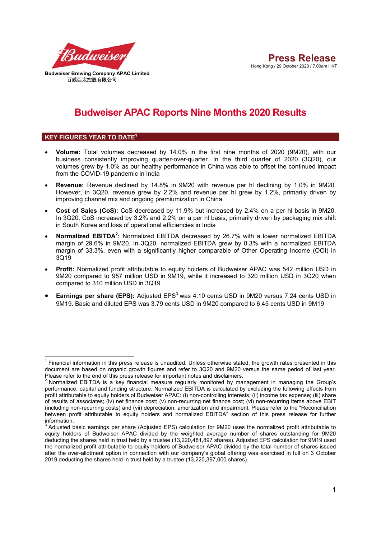

# **Budweiser APAC Reports Nine Months 2020 Results**

### **KEY FIGURES YEAR TO DATE<sup>1</sup>**

- **Volume:** Total volumes decreased by 14.0% in the first nine months of 2020 (9M20), with our business consistently improving quarter-over-quarter. In the third quarter of 2020 (3Q20), our volumes grew by 1.0% as our healthy performance in China was able to offset the continued impact from the COVID-19 pandemic in India
- **Revenue:** Revenue declined by 14.8% in 9M20 with revenue per hl declining by 1.0% in 9M20. However, in 3Q20, revenue grew by 2.2% and revenue per hl grew by 1.2%, primarily driven by improving channel mix and ongoing premiumization in China
- **Cost of Sales (CoS):** CoS decreased by 11.9% but increased by 2.4% on a per hl basis in 9M20. In 3Q20, CoS increased by 3.2% and 2.2% on a per hl basis, primarily driven by packaging mix shift in South Korea and loss of operational efficiencies in India
- Normalized EBITDA<sup>2</sup>: Normalized EBITDA decreased by 26.7% with a lower normalized EBITDA margin of 29.6% in 9M20. In 3Q20, normalized EBITDA grew by 0.3% with a normalized EBITDA margin of 33.3%, even with a significantly higher comparable of Other Operating Income (OOI) in 3Q19
- **Profit:** Normalized profit attributable to equity holders of Budweiser APAC was 542 million USD in 9M20 compared to 957 million USD in 9M19, while it increased to 320 million USD in 3Q20 when compared to 310 million USD in 3Q19
- Earnings per share (EPS): Adjusted EPS<sup>3</sup> was 4.10 cents USD in 9M20 versus 7.24 cents USD in 9M19. Basic and diluted EPS was 3.79 cents USD in 9M20 compared to 6.45 cents USD in 9M19

 $\overline{\phantom{a}}$  $1$  Financial information in this press release is unaudited. Unless otherwise stated, the growth rates presented in this document are based on organic growth figures and refer to 3Q20 and 9M20 versus the same period of last year.

Please refer to the end of this press release for important notes and disclaimers.<br><sup>2</sup> Normalized EBITDA is a key financial measure regularly monitored by management in managing the Group's performance, capital and funding structure. Normalized EBITDA is calculated by excluding the following effects from profit attributable to equity holders of Budweiser APAC: (i) non-controlling interests; (ii) income tax expense; (iii) share of results of associates; (iv) net finance cost; (v) non-recurring net finance cost; (vi) non-recurring items above EBIT (including non-recurring costs) and (vii) depreciation, amortization and impairment. Please refer to the "Reconciliation between profit attributable to equity holders and normalized EBITDA" section of this press release for further information.

 $^3$  Adjusted basic earnings per share (Adjusted EPS) calculation for 9M20 uses the normalized profit attributable to equity holders of Budweiser APAC divided by the weighted average number of shares outstanding for 9M20 deducting the shares held in trust held by a trustee (13,220,481,897 shares). Adjusted EPS calculation for 9M19 used the normalized profit attributable to equity holders of Budweiser APAC divided by the total number of shares issued after the over-allotment option in connection with our company's global offering was exercised in full on 3 October 2019 deducting the shares held in trust held by a trustee (13,220,397,000 shares).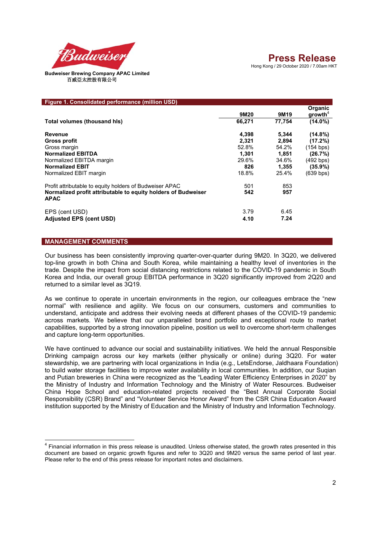

| Figure 1. Consolidated performance (million USD)                                                                                        |                |                |                                |
|-----------------------------------------------------------------------------------------------------------------------------------------|----------------|----------------|--------------------------------|
|                                                                                                                                         | 9M20           | 9M19           | Organic<br>growth <sup>4</sup> |
| Total volumes (thousand his)                                                                                                            | 66,271         | 77,754         | $(14.0\%)$                     |
| Revenue<br><b>Gross profit</b>                                                                                                          | 4,398<br>2,321 | 5,344<br>2,894 | $(14.8\%)$<br>(17.2%)          |
| Gross margin<br><b>Normalized EBITDA</b>                                                                                                | 52.8%<br>1,301 | 54.2%<br>1,851 | (154 bps)<br>(26.7%)           |
| Normalized EBITDA margin<br><b>Normalized EBIT</b>                                                                                      | 29.6%<br>826   | 34.6%          | (492 bps)<br>$(35.9\%)$        |
| Normalized EBIT margin                                                                                                                  | 18.8%          | 1,355<br>25.4% | (639 bps)                      |
| Profit attributable to equity holders of Budweiser APAC<br>Normalized profit attributable to equity holders of Budweiser<br><b>APAC</b> | 501<br>542     | 853<br>957     |                                |
| EPS (cent USD)<br><b>Adjusted EPS (cent USD)</b>                                                                                        | 3.79<br>4.10   | 6.45<br>7.24   |                                |

### **MANAGEMENT COMMENTS**

 $\overline{\phantom{a}}$ 

Our business has been consistently improving quarter-over-quarter during 9M20. In 3Q20, we delivered top-line growth in both China and South Korea, while maintaining a healthy level of inventories in the trade. Despite the impact from social distancing restrictions related to the COVID-19 pandemic in South Korea and India, our overall group EBITDA performance in 3Q20 significantly improved from 2Q20 and returned to a similar level as 3Q19.

As we continue to operate in uncertain environments in the region, our colleagues embrace the "new normal" with resilience and agility. We focus on our consumers, customers and communities to understand, anticipate and address their evolving needs at different phases of the COVID-19 pandemic across markets. We believe that our unparalleled brand portfolio and exceptional route to market capabilities, supported by a strong innovation pipeline, position us well to overcome short-term challenges and capture long-term opportunities.

We have continued to advance our social and sustainability initiatives. We held the annual Responsible Drinking campaign across our key markets (either physically or online) during 3Q20. For water stewardship, we are partnering with local organizations in India (e.g., LetsEndorse, Jaldhaara Foundation) to build water storage facilities to improve water availability in local communities. In addition, our Suqian and Putian breweries in China were recognized as the "Leading Water Efficiency Enterprises in 2020" by the Ministry of Industry and Information Technology and the Ministry of Water Resources. Budweiser China Hope School and education-related projects received the "Best Annual Corporate Social Responsibility (CSR) Brand" and "Volunteer Service Honor Award" from the CSR China Education Award institution supported by the Ministry of Education and the Ministry of Industry and Information Technology.

 $<sup>4</sup>$  Financial information in this press release is unaudited. Unless otherwise stated, the growth rates presented in this</sup> document are based on organic growth figures and refer to 3Q20 and 9M20 versus the same period of last year. Please refer to the end of this press release for important notes and disclaimers.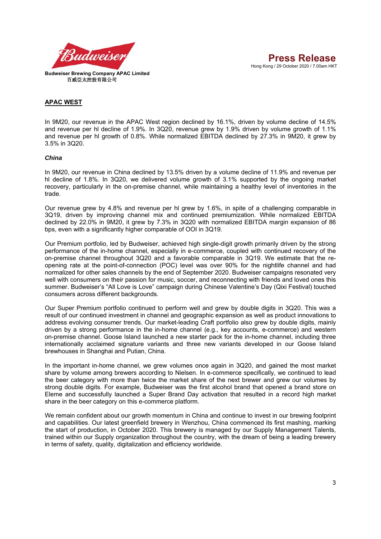

#### **APAC WEST**

In 9M20, our revenue in the APAC West region declined by 16.1%, driven by volume decline of 14.5% and revenue per hl decline of 1.9%. In 3Q20, revenue grew by 1.9% driven by volume growth of 1.1% and revenue per hl growth of 0.8%. While normalized EBITDA declined by 27.3% in 9M20, it grew by 3.5% in 3Q20.

#### *China*

In 9M20, our revenue in China declined by 13.5% driven by a volume decline of 11.9% and revenue per hl decline of 1.8%. In 3Q20, we delivered volume growth of 3.1% supported by the ongoing market recovery, particularly in the on-premise channel, while maintaining a healthy level of inventories in the trade.

Our revenue grew by 4.8% and revenue per hl grew by 1.6%, in spite of a challenging comparable in 3Q19, driven by improving channel mix and continued premiumization. While normalized EBITDA declined by 22.0% in 9M20, it grew by 7.3% in 3Q20 with normalized EBITDA margin expansion of 86 bps, even with a significantly higher comparable of OOI in 3Q19.

Our Premium portfolio, led by Budweiser, achieved high single-digit growth primarily driven by the strong performance of the in-home channel, especially in e-commerce, coupled with continued recovery of the on-premise channel throughout 3Q20 and a favorable comparable in 3Q19. We estimate that the reopening rate at the point-of-connection (POC) level was over 90% for the nightlife channel and had normalized for other sales channels by the end of September 2020. Budweiser campaigns resonated very well with consumers on their passion for music, soccer, and reconnecting with friends and loved ones this summer. Budweiser's "All Love is Love" campaign during Chinese Valentine's Day (Qixi Festival) touched consumers across different backgrounds.

Our Super Premium portfolio continued to perform well and grew by double digits in 3Q20. This was a result of our continued investment in channel and geographic expansion as well as product innovations to address evolving consumer trends. Our market-leading Craft portfolio also grew by double digits, mainly driven by a strong performance in the in-home channel (e.g., key accounts, e-commerce) and western on-premise channel. Goose Island launched a new starter pack for the in-home channel, including three internationally acclaimed signature variants and three new variants developed in our Goose Island brewhouses in Shanghai and Putian, China.

In the important in-home channel, we grew volumes once again in 3Q20, and gained the most market share by volume among brewers according to Nielsen. In e-commerce specifically, we continued to lead the beer category with more than twice the market share of the next brewer and grew our volumes by strong double digits. For example, Budweiser was the first alcohol brand that opened a brand store on Eleme and successfully launched a Super Brand Day activation that resulted in a record high market share in the beer category on this e-commerce platform.

We remain confident about our growth momentum in China and continue to invest in our brewing footprint and capabilities. Our latest greenfield brewery in Wenzhou, China commenced its first mashing, marking the start of production, in October 2020. This brewery is managed by our Supply Management Talents, trained within our Supply organization throughout the country, with the dream of being a leading brewery in terms of safety, quality, digitalization and efficiency worldwide.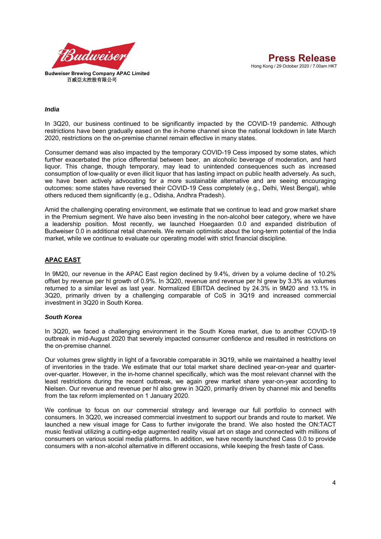

#### *India*

In 3Q20, our business continued to be significantly impacted by the COVID-19 pandemic. Although restrictions have been gradually eased on the in-home channel since the national lockdown in late March 2020, restrictions on the on-premise channel remain effective in many states.

Consumer demand was also impacted by the temporary COVID-19 Cess imposed by some states, which further exacerbated the price differential between beer, an alcoholic beverage of moderation, and hard liquor. This change, though temporary, may lead to unintended consequences such as increased consumption of low-quality or even illicit liquor that has lasting impact on public health adversely. As such, we have been actively advocating for a more sustainable alternative and are seeing encouraging outcomes: some states have reversed their COVID-19 Cess completely (e.g., Delhi, West Bengal), while others reduced them significantly (e.g., Odisha, Andhra Pradesh).

Amid the challenging operating environment, we estimate that we continue to lead and grow market share in the Premium segment. We have also been investing in the non-alcohol beer category, where we have a leadership position. Most recently, we launched Hoegaarden 0.0 and expanded distribution of Budweiser 0.0 in additional retail channels. We remain optimistic about the long-term potential of the India market, while we continue to evaluate our operating model with strict financial discipline.

### **APAC EAST**

In 9M20, our revenue in the APAC East region declined by 9.4%, driven by a volume decline of 10.2% offset by revenue per hl growth of 0.9%. In 3Q20, revenue and revenue per hl grew by 3.3% as volumes returned to a similar level as last year. Normalized EBITDA declined by 24.3% in 9M20 and 13.1% in 3Q20, primarily driven by a challenging comparable of CoS in 3Q19 and increased commercial investment in 3Q20 in South Korea.

#### *South Korea*

In 3Q20, we faced a challenging environment in the South Korea market, due to another COVID-19 outbreak in mid-August 2020 that severely impacted consumer confidence and resulted in restrictions on the on-premise channel.

Our volumes grew slightly in light of a favorable comparable in 3Q19, while we maintained a healthy level of inventories in the trade. We estimate that our total market share declined year-on-year and quarterover-quarter. However, in the in-home channel specifically, which was the most relevant channel with the least restrictions during the recent outbreak, we again grew market share year-on-year according to Nielsen. Our revenue and revenue per hl also grew in 3Q20, primarily driven by channel mix and benefits from the tax reform implemented on 1 January 2020.

We continue to focus on our commercial strategy and leverage our full portfolio to connect with consumers. In 3Q20, we increased commercial investment to support our brands and route to market. We launched a new visual image for Cass to further invigorate the brand. We also hosted the ON:TACT music festival utilizing a cutting-edge augmented reality visual art on stage and connected with millions of consumers on various social media platforms. In addition, we have recently launched Cass 0.0 to provide consumers with a non-alcohol alternative in different occasions, while keeping the fresh taste of Cass.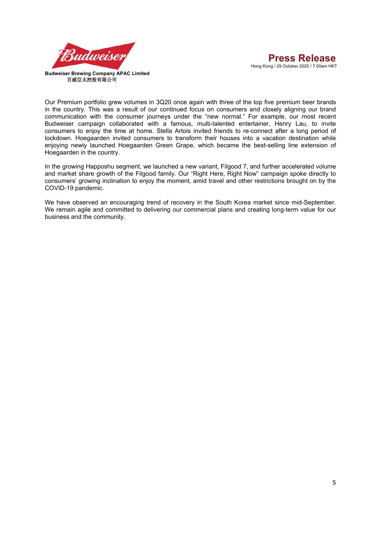

Our Premium portfolio grew volumes in 3Q20 once again with three of the top five premium beer brands in the country. This was a result of our continued focus on consumers and closely aligning our brand communication with the consumer journeys under the "new normal." For example, our most recent Budweiser campaign collaborated with a famous, multi-talented entertainer, Henry Lau, to invite consumers to enjoy the time at home. Stella Artois invited friends to re-connect after a long period of lockdown. Hoegaarden invited consumers to transform their houses into a vacation destination while enjoying newly launched Hoegaarden Green Grape, which became the best-selling line extension of Hoegaarden in the country.

In the growing Happoshu segment, we launched a new variant, Filgood 7, and further accelerated volume and market share growth of the Filgood family. Our "Right Here, Right Now" campaign spoke directly to consumers' growing inclination to enjoy the moment, amid travel and other restrictions brought on by the COVID-19 pandemic.

We have observed an encouraging trend of recovery in the South Korea market since mid-September. We remain agile and committed to delivering our commercial plans and creating long-term value for our business and the community.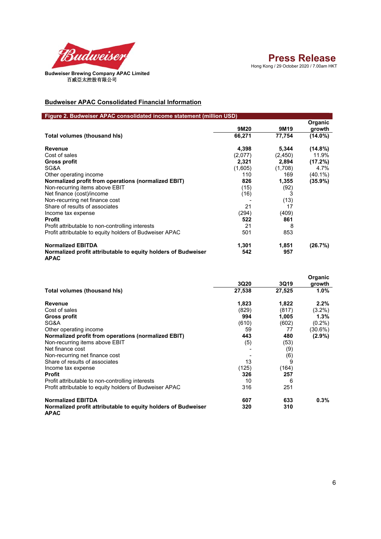

## **Budweiser APAC Consolidated Financial Information**

| Figure 2. Budweiser APAC consolidated income statement (million USD)         |         |         |                   |
|------------------------------------------------------------------------------|---------|---------|-------------------|
|                                                                              | 9M20    | 9M19    | Organic<br>growth |
| Total volumes (thousand his)                                                 | 66,271  | 77,754  | $(14.0\%)$        |
| Revenue                                                                      | 4,398   | 5,344   | $(14.8\%)$        |
| Cost of sales                                                                | (2,077) | (2,450) | 11.9%             |
| <b>Gross profit</b>                                                          | 2,321   | 2,894   | (17.2%)           |
| SG&A                                                                         | (1,605) | (1,708) | 4.7%              |
| Other operating income                                                       | 110     | 169     | $(40.1\%)$        |
| Normalized profit from operations (normalized EBIT)                          | 826     | 1,355   | $(35.9\%)$        |
| Non-recurring items above EBIT                                               | (15)    | (92)    |                   |
| Net finance (cost)/income                                                    | (16)    | 3       |                   |
| Non-recurring net finance cost                                               |         | (13)    |                   |
| Share of results of associates                                               | 21      | 17      |                   |
| Income tax expense                                                           | (294)   | (409)   |                   |
| <b>Profit</b>                                                                | 522     | 861     |                   |
| Profit attributable to non-controlling interests                             | 21      | 8       |                   |
| Profit attributable to equity holders of Budweiser APAC                      | 501     | 853     |                   |
| <b>Normalized EBITDA</b>                                                     | 1,301   | 1,851   | (26.7%)           |
| Normalized profit attributable to equity holders of Budweiser<br><b>APAC</b> | 542     | 957     |                   |

|                                                                              |        |        | Organic    |
|------------------------------------------------------------------------------|--------|--------|------------|
|                                                                              | 3Q20   | 3Q19   | growth     |
| Total volumes (thousand his)                                                 | 27,538 | 27,525 | 1.0%       |
| Revenue                                                                      | 1,823  | 1,822  | 2.2%       |
| Cost of sales                                                                | (829)  | (817)  | $(3.2\%)$  |
| Gross profit                                                                 | 994    | 1,005  | 1.3%       |
| SG&A                                                                         | (610)  | (602)  | $(0.2\%)$  |
| Other operating income                                                       | 59     | 77     | $(30.6\%)$ |
| Normalized profit from operations (normalized EBIT)                          | 443    | 480    | $(2.9\%)$  |
| Non-recurring items above EBIT                                               | (5)    | (53)   |            |
| Net finance cost                                                             |        | (9)    |            |
| Non-recurring net finance cost                                               |        | (6)    |            |
| Share of results of associates                                               | 13     | 9      |            |
| Income tax expense                                                           | (125)  | (164)  |            |
| Profit                                                                       | 326    | 257    |            |
| Profit attributable to non-controlling interests                             | 10     | 6      |            |
| Profit attributable to equity holders of Budweiser APAC                      | 316    | 251    |            |
| <b>Normalized EBITDA</b>                                                     | 607    | 633    | $0.3\%$    |
| Normalized profit attributable to equity holders of Budweiser<br><b>APAC</b> | 320    | 310    |            |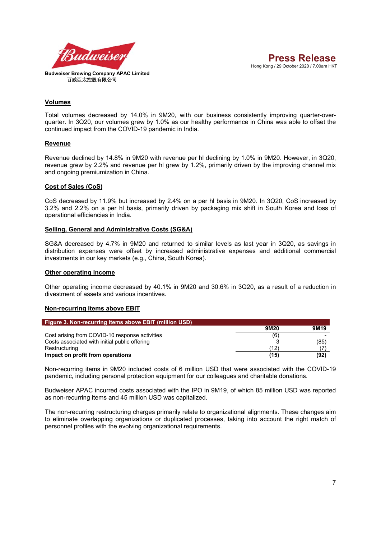

#### **Volumes**

Total volumes decreased by 14.0% in 9M20, with our business consistently improving quarter-overquarter. In 3Q20, our volumes grew by 1.0% as our healthy performance in China was able to offset the continued impact from the COVID-19 pandemic in India.

#### **Revenue**

Revenue declined by 14.8% in 9M20 with revenue per hl declining by 1.0% in 9M20. However, in 3Q20, revenue grew by 2.2% and revenue per hl grew by 1.2%, primarily driven by the improving channel mix and ongoing premiumization in China.

#### **Cost of Sales (CoS)**

CoS decreased by 11.9% but increased by 2.4% on a per hl basis in 9M20. In 3Q20, CoS increased by 3.2% and 2.2% on a per hl basis, primarily driven by packaging mix shift in South Korea and loss of operational efficiencies in India.

#### **Selling, General and Administrative Costs (SG&A)**

SG&A decreased by 4.7% in 9M20 and returned to similar levels as last year in 3Q20, as savings in distribution expenses were offset by increased administrative expenses and additional commercial investments in our key markets (e.g., China, South Korea).

#### **Other operating income**

Other operating income decreased by 40.1% in 9M20 and 30.6% in 3Q20, as a result of a reduction in divestment of assets and various incentives.

#### **Non-recurring items above EBIT**

| Figure 3. Non-recurring items above EBIT (million USD) |      |                  |
|--------------------------------------------------------|------|------------------|
|                                                        | 9M20 | 9M <sub>19</sub> |
| Cost arising from COVID-10 response activities         | (6)  |                  |
| Costs associated with initial public offering          |      | (85)             |
| Restructuring                                          | (12) |                  |
| Impact on profit from operations                       | (15) | (92)             |

Non-recurring items in 9M20 included costs of 6 million USD that were associated with the COVID-19 pandemic, including personal protection equipment for our colleagues and charitable donations.

Budweiser APAC incurred costs associated with the IPO in 9M19, of which 85 million USD was reported as non-recurring items and 45 million USD was capitalized.

The non-recurring restructuring charges primarily relate to organizational alignments. These changes aim to eliminate overlapping organizations or duplicated processes, taking into account the right match of personnel profiles with the evolving organizational requirements.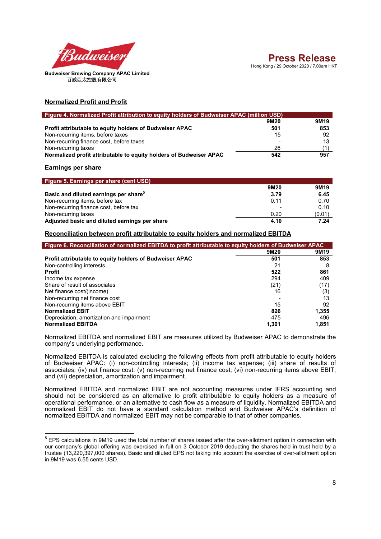

#### **Normalized Profit and Profit**

| Figure 4. Normalized Profit attribution to equity holders of Budweiser APAC (million USD) |      |                  |  |
|-------------------------------------------------------------------------------------------|------|------------------|--|
|                                                                                           | 9M20 | 9M <sub>19</sub> |  |
| Profit attributable to equity holders of Budweiser APAC                                   | 501  | 853              |  |
| Non-recurring items, before taxes                                                         | 15   | 92               |  |
| Non-recurring finance cost, before taxes                                                  |      | 13               |  |
| Non-recurring taxes                                                                       | 26   |                  |  |
| Normalized profit attributable to equity holders of Budweiser APAC                        | 542  | 957              |  |

## **Earnings per share**

| Figure 5. Earnings per share (cent USD)           |      |                  |
|---------------------------------------------------|------|------------------|
|                                                   | 9M20 | 9M <sub>19</sub> |
| Basic and diluted earnings per share <sup>5</sup> | 3.79 | 6.45             |
| Non-recurring items, before tax                   | 0.11 | 0.70             |
| Non-recurring finance cost, before tax            |      | 0.10             |
| Non-recurring taxes                               | 0.20 | (0.01)           |
| Adjusted basic and diluted earnings per share     | 4.10 | 7.24             |

#### **Reconciliation between profit attributable to equity holders and normalized EBITDA**

| Figure 6. Reconciliation of normalized EBITDA to profit attributable to equity holders of Budweiser APAC |       |                  |  |
|----------------------------------------------------------------------------------------------------------|-------|------------------|--|
|                                                                                                          | 9M20  | 9M <sub>19</sub> |  |
| Profit attributable to equity holders of Budweiser APAC                                                  | 501   | 853              |  |
| Non-controlling interests                                                                                | 21    | 8                |  |
| <b>Profit</b>                                                                                            | 522   | 861              |  |
| Income tax expense                                                                                       | 294   | 409              |  |
| Share of result of associates                                                                            | (21)  | (17)             |  |
| Net finance cost/(income)                                                                                | 16    | (3)              |  |
| Non-recurring net finance cost                                                                           |       | 13               |  |
| Non-recurring items above EBIT                                                                           | 15    | 92               |  |
| <b>Normalized EBIT</b>                                                                                   | 826   | 1,355            |  |
| Depreciation, amortization and impairment                                                                | 475   | 496              |  |
| <b>Normalized EBITDA</b>                                                                                 | 1.301 | 1,851            |  |

Normalized EBITDA and normalized EBIT are measures utilized by Budweiser APAC to demonstrate the company's underlying performance.

Normalized EBITDA is calculated excluding the following effects from profit attributable to equity holders of Budweiser APAC: (i) non-controlling interests; (ii) income tax expense; (iii) share of results of associates; (iv) net finance cost; (v) non-recurring net finance cost; (vi) non-recurring items above EBIT; and (vii) depreciation, amortization and impairment.

Normalized EBITDA and normalized EBIT are not accounting measures under IFRS accounting and should not be considered as an alternative to profit attributable to equity holders as a measure of operational performance, or an alternative to cash flow as a measure of liquidity. Normalized EBITDA and normalized EBIT do not have a standard calculation method and Budweiser APAC's definition of normalized EBITDA and normalized EBIT may not be comparable to that of other companies.

 5 EPS calculations in 9M19 used the total number of shares issued after the over-allotment option in connection with our company's global offering was exercised in full on 3 October 2019 deducting the shares held in trust held by a trustee (13,220,397,000 shares). Basic and diluted EPS not taking into account the exercise of over-allotment option in 9M19 was 6.55 cents USD.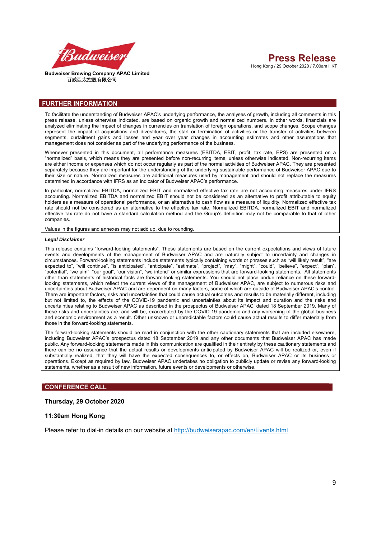

#### **FURTHER INFORMATION**

To facilitate the understanding of Budweiser APAC's underlying performance, the analyses of growth, including all comments in this press release, unless otherwise indicated, are based on organic growth and normalized numbers. In other words, financials are analyzed eliminating the impact of changes in currencies on translation of foreign operations, and scope changes. Scope changes represent the impact of acquisitions and divestitures, the start or termination of activities or the transfer of activities between segments, curtailment gains and losses and year over year changes in accounting estimates and other assumptions that management does not consider as part of the underlying performance of the business.

Whenever presented in this document, all performance measures (EBITDA, EBIT, profit, tax rate, EPS) are presented on a "normalized" basis, which means they are presented before non-recurring items, unless otherwise indicated. Non-recurring items are either income or expenses which do not occur regularly as part of the normal activities of Budweiser APAC. They are presented separately because they are important for the understanding of the underlying sustainable performance of Budweiser APAC due to their size or nature. Normalized measures are additional measures used by management and should not replace the measures determined in accordance with IFRS as an indicator of Budweiser APAC's performance.

In particular, normalized EBITDA, normalized EBIT and normalized effective tax rate are not accounting measures under IFRS accounting. Normalized EBITDA and normalized EBIT should not be considered as an alternative to profit attributable to equity holders as a measure of operational performance, or an alternative to cash flow as a measure of liquidity. Normalized effective tax rate should not be considered as an alternative to the effective tax rate. Normalized EBITDA, normalized EBIT and normalized effective tax rate do not have a standard calculation method and the Group's definition may not be comparable to that of other companies.

Values in the figures and annexes may not add up, due to rounding.

#### *Legal Disclaimer*

This release contains "forward-looking statements". These statements are based on the current expectations and views of future events and developments of the management of Budweiser APAC and are naturally subject to uncertainty and changes in circumstances. Forward-looking statements include statements typically containing words or phrases such as "will likely result", "are expected to", "will continue", "is anticipated", "anticipate", "estimate", "project", "may", "might", "could", "believe", "expect", "plan", "potential", "we aim", "our goal", "our vision", "we intend" or similar expressions that are forward-looking statements. All statements other than statements of historical facts are forward-looking statements. You should not place undue reliance on these forwardlooking statements, which reflect the current views of the management of Budweiser APAC, are subject to numerous risks and uncertainties about Budweiser APAC and are dependent on many factors, some of which are outside of Budweiser APAC's control. There are important factors, risks and uncertainties that could cause actual outcomes and results to be materially different, including but not limited to, the effects of the COVID-19 pandemic and uncertainties about its impact and duration and the risks and uncertainties relating to Budweiser APAC as described in the prospectus of Budweiser APAC' dated 18 September 2019. Many of these risks and uncertainties are, and will be, exacerbated by the COVID-19 pandemic and any worsening of the global business and economic environment as a result. Other unknown or unpredictable factors could cause actual results to differ materially from those in the forward-looking statements.

The forward-looking statements should be read in conjunction with the other cautionary statements that are included elsewhere, including Budweiser APAC's prospectus dated 18 September 2019 and any other documents that Budweiser APAC has made public. Any forward-looking statements made in this communication are qualified in their entirety by these cautionary statements and there can be no assurance that the actual results or developments anticipated by Budweiser APAC will be realized or, even if substantially realized, that they will have the expected consequences to, or effects on, Budweiser APAC or its business or operations. Except as required by law, Budweiser APAC undertakes no obligation to publicly update or revise any forward-looking statements, whether as a result of new information, future events or developments or otherwise.

#### **CONFERENCE CALL**

#### **Thursday, 29 October 2020**

#### **11:30am Hong Kong**

Please refer to dial-in details on our website at http://budweiserapac.com/en/Events.html